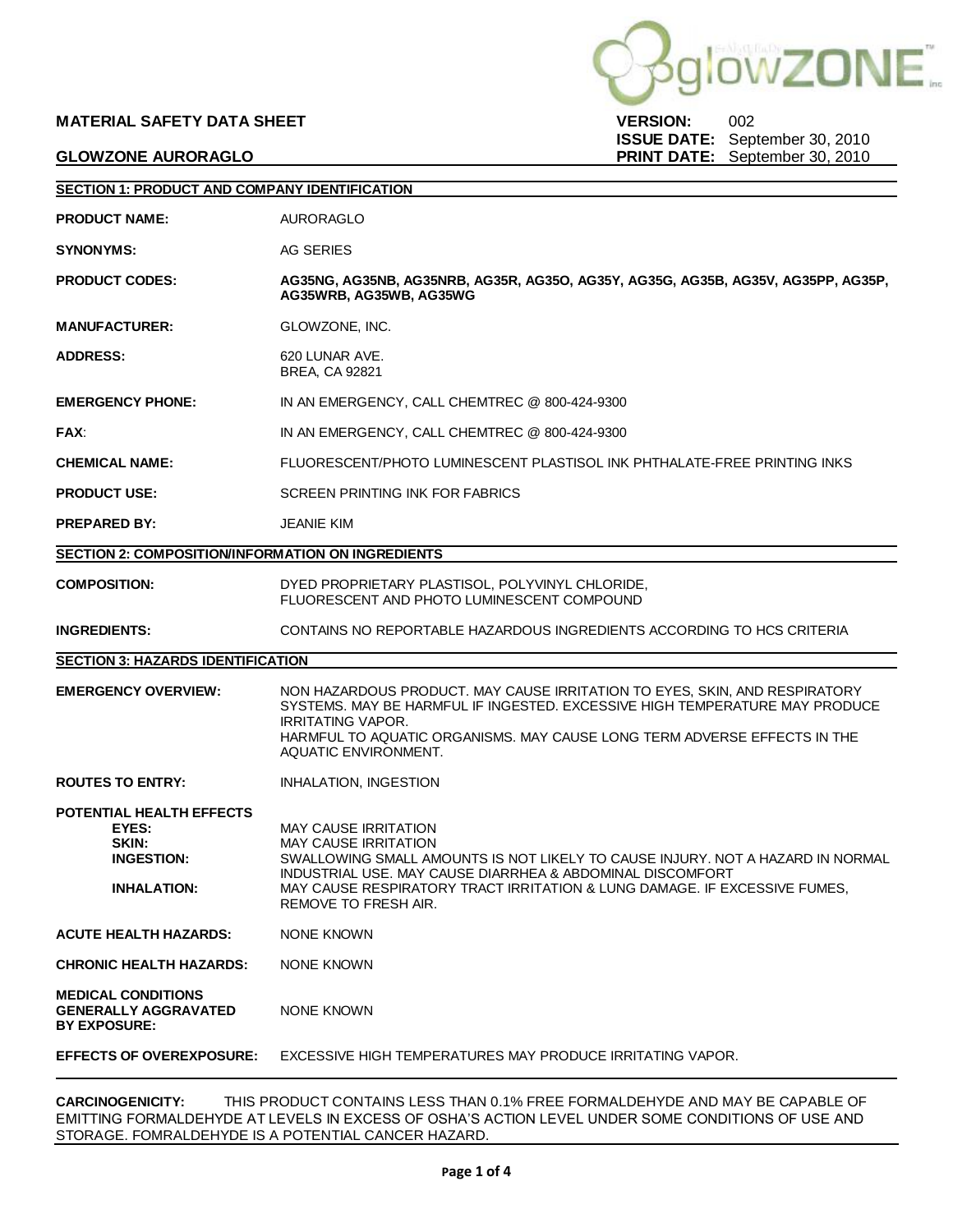# **MATERIAL SAFETY DATA SHEET VERSION:** 002

**DWZONE** 

**ISSUE DATE:** September 30, 2010 **GLOWZONE AURORAGLO PRINT DATE:** September 30, 2010

| <b>SECTION 1: PRODUCT AND COMPANY IDENTIFICATION</b>                                  |                                                                                                                                                                                                                                                                                                         |  |  |  |
|---------------------------------------------------------------------------------------|---------------------------------------------------------------------------------------------------------------------------------------------------------------------------------------------------------------------------------------------------------------------------------------------------------|--|--|--|
| <b>PRODUCT NAME:</b>                                                                  | AURORAGLO                                                                                                                                                                                                                                                                                               |  |  |  |
| <b>SYNONYMS:</b>                                                                      | AG SERIES                                                                                                                                                                                                                                                                                               |  |  |  |
| <b>PRODUCT CODES:</b>                                                                 | AG35NG, AG35NB, AG35NRB, AG35R, AG35O, AG35Y, AG35G, AG35B, AG35V, AG35PP, AG35P,<br>AG35WRB. AG35WB. AG35WG                                                                                                                                                                                            |  |  |  |
| <b>MANUFACTURER:</b>                                                                  | GLOWZONE, INC.                                                                                                                                                                                                                                                                                          |  |  |  |
| <b>ADDRESS:</b>                                                                       | 620 LUNAR AVE.<br>BREA, CA 92821                                                                                                                                                                                                                                                                        |  |  |  |
| <b>EMERGENCY PHONE:</b>                                                               | IN AN EMERGENCY, CALL CHEMTREC @ 800-424-9300                                                                                                                                                                                                                                                           |  |  |  |
| <b>FAX:</b>                                                                           | IN AN EMERGENCY, CALL CHEMTREC @ 800-424-9300                                                                                                                                                                                                                                                           |  |  |  |
| <b>CHEMICAL NAME:</b>                                                                 | FLUORESCENT/PHOTO LUMINESCENT PLASTISOL INK PHTHALATE-FREE PRINTING INKS                                                                                                                                                                                                                                |  |  |  |
| <b>PRODUCT USE:</b>                                                                   | <b>SCREEN PRINTING INK FOR FABRICS</b>                                                                                                                                                                                                                                                                  |  |  |  |
| <b>PREPARED BY:</b>                                                                   | <b>JEANIE KIM</b>                                                                                                                                                                                                                                                                                       |  |  |  |
| <b>SECTION 2: COMPOSITION/INFORMATION ON INGREDIENTS</b>                              |                                                                                                                                                                                                                                                                                                         |  |  |  |
| <b>COMPOSITION:</b>                                                                   | DYED PROPRIETARY PLASTISOL, POLYVINYL CHLORIDE,<br>FLUORESCENT AND PHOTO LUMINESCENT COMPOUND                                                                                                                                                                                                           |  |  |  |
| <b>INGREDIENTS:</b>                                                                   | CONTAINS NO REPORTABLE HAZARDOUS INGREDIENTS ACCORDING TO HCS CRITERIA                                                                                                                                                                                                                                  |  |  |  |
| <b>SECTION 3: HAZARDS IDENTIFICATION</b>                                              |                                                                                                                                                                                                                                                                                                         |  |  |  |
| <b>EMERGENCY OVERVIEW:</b>                                                            | NON HAZARDOUS PRODUCT. MAY CAUSE IRRITATION TO EYES, SKIN, AND RESPIRATORY<br>SYSTEMS. MAY BE HARMFUL IF INGESTED. EXCESSIVE HIGH TEMPERATURE MAY PRODUCE<br><b>IRRITATING VAPOR.</b><br>HARMFUL TO AQUATIC ORGANISMS. MAY CAUSE LONG TERM ADVERSE EFFECTS IN THE<br>AQUATIC ENVIRONMENT.               |  |  |  |
| <b>ROUTES TO ENTRY:</b>                                                               | <b>INHALATION, INGESTION</b>                                                                                                                                                                                                                                                                            |  |  |  |
| POTENTIAL HEALTH EFFECTS<br>EYES:<br>SKIN:<br><b>INGESTION:</b><br><b>INHALATION:</b> | MAY CAUSE IRRITATION<br><b>MAY CAUSE IRRITATION</b><br>SWALLOWING SMALL AMOUNTS IS NOT LIKELY TO CAUSE INJURY. NOT A HAZARD IN NORMAL<br>INDUSTRIAL USE. MAY CAUSE DIARRHEA & ABDOMINAL DISCOMFORT<br>MAY CAUSE RESPIRATORY TRACT IRRITATION & LUNG DAMAGE. IF EXCESSIVE FUMES,<br>REMOVE TO FRESH AIR. |  |  |  |
| <b>ACUTE HEALTH HAZARDS:</b>                                                          | NONE KNOWN                                                                                                                                                                                                                                                                                              |  |  |  |
| <b>CHRONIC HEALTH HAZARDS:</b>                                                        | NONE KNOWN                                                                                                                                                                                                                                                                                              |  |  |  |
| <b>MEDICAL CONDITIONS</b><br><b>GENERALLY AGGRAVATED</b><br><b>BY EXPOSURE:</b>       | NONE KNOWN                                                                                                                                                                                                                                                                                              |  |  |  |
| <b>EFFECTS OF OVEREXPOSURE:</b>                                                       | EXCESSIVE HIGH TEMPERATURES MAY PRODUCE IRRITATING VAPOR.                                                                                                                                                                                                                                               |  |  |  |
|                                                                                       |                                                                                                                                                                                                                                                                                                         |  |  |  |

**CARCINOGENICITY:** THIS PRODUCT CONTAINS LESS THAN 0.1% FREE FORMALDEHYDE AND MAY BE CAPABLE OF EMITTING FORMALDEHYDE AT LEVELS IN EXCESS OF OSHA'S ACTION LEVEL UNDER SOME CONDITIONS OF USE AND STORAGE. FOMRALDEHYDE IS A POTENTIAL CANCER HAZARD.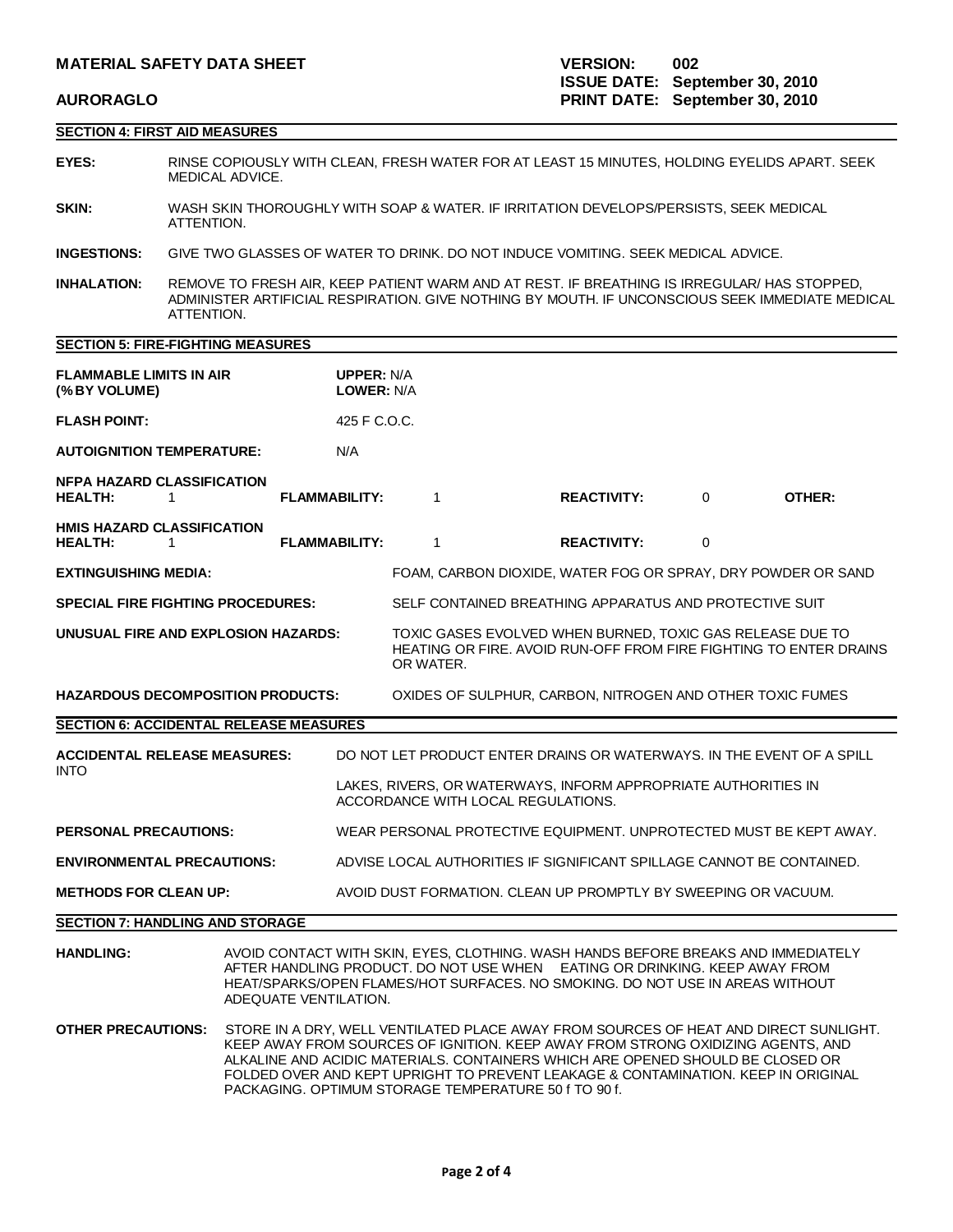## **SECTION 4: FIRST AID MEASURES**

- **EYES:** RINSE COPIOUSLY WITH CLEAN, FRESH WATER FOR AT LEAST 15 MINUTES, HOLDING EYELIDS APART. SEEK MEDICAL ADVICE.
- **SKIN:** WASH SKIN THOROUGHLY WITH SOAP & WATER. IF IRRITATION DEVELOPS/PERSISTS, SEEK MEDICAL ATTENTION.
- **INGESTIONS:** GIVE TWO GLASSES OF WATER TO DRINK. DO NOT INDUCE VOMITING. SEEK MEDICAL ADVICE.
- **INHALATION:** REMOVE TO FRESH AIR, KEEP PATIENT WARM AND AT REST. IF BREATHING IS IRREGULAR/ HAS STOPPED, ADMINISTER ARTIFICIAL RESPIRATION. GIVE NOTHING BY MOUTH. IF UNCONSCIOUS SEEK IMMEDIATE MEDICAL ATTENTION.

### **SECTION 5: FIRE-FIGHTING MEASURES**

| <b>FLAMMABLE LIMITS IN AIR</b><br>(%BY VOLUME)                                                        |                                                                                                                                                                                                                                                                                                                                                                                                        | <b>UPPER: N/A</b><br><b>LOWER: N/A</b>                                                               |                                                                       |  |                                                           |                                                                   |                                                                       |  |
|-------------------------------------------------------------------------------------------------------|--------------------------------------------------------------------------------------------------------------------------------------------------------------------------------------------------------------------------------------------------------------------------------------------------------------------------------------------------------------------------------------------------------|------------------------------------------------------------------------------------------------------|-----------------------------------------------------------------------|--|-----------------------------------------------------------|-------------------------------------------------------------------|-----------------------------------------------------------------------|--|
| <b>FLASH POINT:</b>                                                                                   | 425 F C.O.C.                                                                                                                                                                                                                                                                                                                                                                                           |                                                                                                      |                                                                       |  |                                                           |                                                                   |                                                                       |  |
| <b>AUTOIGNITION TEMPERATURE:</b><br>N/A                                                               |                                                                                                                                                                                                                                                                                                                                                                                                        |                                                                                                      |                                                                       |  |                                                           |                                                                   |                                                                       |  |
| <b>NFPA HAZARD CLASSIFICATION</b><br><b>HEALTH:</b><br>$\mathbf{1}$                                   | <b>FLAMMABILITY:</b>                                                                                                                                                                                                                                                                                                                                                                                   |                                                                                                      | $\mathbf{1}$                                                          |  | <b>REACTIVITY:</b>                                        | $\Omega$                                                          | OTHER:                                                                |  |
| <b>HMIS HAZARD CLASSIFICATION</b><br><b>HEALTH:</b><br>1                                              | <b>FLAMMABILITY:</b>                                                                                                                                                                                                                                                                                                                                                                                   |                                                                                                      | $\mathbf{1}$                                                          |  | <b>REACTIVITY:</b>                                        | 0                                                                 |                                                                       |  |
| <b>EXTINGUISHING MEDIA:</b>                                                                           |                                                                                                                                                                                                                                                                                                                                                                                                        |                                                                                                      | FOAM, CARBON DIOXIDE, WATER FOG OR SPRAY, DRY POWDER OR SAND          |  |                                                           |                                                                   |                                                                       |  |
| <b>SPECIAL FIRE FIGHTING PROCEDURES:</b>                                                              |                                                                                                                                                                                                                                                                                                                                                                                                        |                                                                                                      | SELF CONTAINED BREATHING APPARATUS AND PROTECTIVE SUIT                |  |                                                           |                                                                   |                                                                       |  |
| UNUSUAL FIRE AND EXPLOSION HAZARDS:                                                                   |                                                                                                                                                                                                                                                                                                                                                                                                        | OR WATER.                                                                                            |                                                                       |  | TOXIC GASES EVOLVED WHEN BURNED, TOXIC GAS RELEASE DUE TO | HEATING OR FIRE. AVOID RUN-OFF FROM FIRE FIGHTING TO ENTER DRAINS |                                                                       |  |
| <b>HAZARDOUS DECOMPOSITION PRODUCTS:</b><br>OXIDES OF SULPHUR, CARBON, NITROGEN AND OTHER TOXIC FUMES |                                                                                                                                                                                                                                                                                                                                                                                                        |                                                                                                      |                                                                       |  |                                                           |                                                                   |                                                                       |  |
| <b>SECTION 6: ACCIDENTAL RELEASE MEASURES</b>                                                         |                                                                                                                                                                                                                                                                                                                                                                                                        |                                                                                                      |                                                                       |  |                                                           |                                                                   |                                                                       |  |
| <b>ACCIDENTAL RELEASE MEASURES:</b>                                                                   |                                                                                                                                                                                                                                                                                                                                                                                                        |                                                                                                      |                                                                       |  |                                                           |                                                                   | DO NOT LET PRODUCT ENTER DRAINS OR WATERWAYS. IN THE EVENT OF A SPILL |  |
| <b>INTO</b>                                                                                           |                                                                                                                                                                                                                                                                                                                                                                                                        | LAKES, RIVERS, OR WATERWAYS, INFORM APPROPRIATE AUTHORITIES IN<br>ACCORDANCE WITH LOCAL REGULATIONS. |                                                                       |  |                                                           |                                                                   |                                                                       |  |
| <b>PERSONAL PRECAUTIONS:</b>                                                                          |                                                                                                                                                                                                                                                                                                                                                                                                        |                                                                                                      |                                                                       |  |                                                           |                                                                   | WEAR PERSONAL PROTECTIVE EQUIPMENT, UNPROTECTED MUST BE KEPT AWAY.    |  |
| <b>ENVIRONMENTAL PRECAUTIONS:</b>                                                                     |                                                                                                                                                                                                                                                                                                                                                                                                        |                                                                                                      | ADVISE LOCAL AUTHORITIES IF SIGNIFICANT SPILLAGE CANNOT BE CONTAINED. |  |                                                           |                                                                   |                                                                       |  |
| <b>METHODS FOR CLEAN UP:</b>                                                                          |                                                                                                                                                                                                                                                                                                                                                                                                        |                                                                                                      | AVOID DUST FORMATION. CLEAN UP PROMPTLY BY SWEEPING OR VACUUM.        |  |                                                           |                                                                   |                                                                       |  |
| <b>SECTION 7: HANDLING AND STORAGE</b>                                                                |                                                                                                                                                                                                                                                                                                                                                                                                        |                                                                                                      |                                                                       |  |                                                           |                                                                   |                                                                       |  |
| <b>HANDLING:</b>                                                                                      | AVOID CONTACT WITH SKIN, EYES, CLOTHING. WASH HANDS BEFORE BREAKS AND IMMEDIATELY<br>AFTER HANDLING PRODUCT. DO NOT USE WHEN EATING OR DRINKING. KEEP AWAY FROM<br>HEAT/SPARKS/OPEN FLAMES/HOT SURFACES. NO SMOKING. DO NOT USE IN AREAS WITHOUT<br>ADEQUATE VENTILATION.                                                                                                                              |                                                                                                      |                                                                       |  |                                                           |                                                                   |                                                                       |  |
| <b>OTHER PRECAUTIONS:</b>                                                                             | STORE IN A DRY, WELL VENTILATED PLACE AWAY FROM SOURCES OF HEAT AND DIRECT SUNLIGHT.<br>KEEP AWAY FROM SOURCES OF IGNITION. KEEP AWAY FROM STRONG OXIDIZING AGENTS, AND<br>ALKALINE AND ACIDIC MATERIALS. CONTAINERS WHICH ARE OPENED SHOULD BE CLOSED OR<br>FOLDED OVER AND KEPT UPRIGHT TO PREVENT LEAKAGE & CONTAMINATION. KEEP IN ORIGINAL<br>PACKAGING. OPTIMUM STORAGE TEMPERATURE 50 f TO 90 f. |                                                                                                      |                                                                       |  |                                                           |                                                                   |                                                                       |  |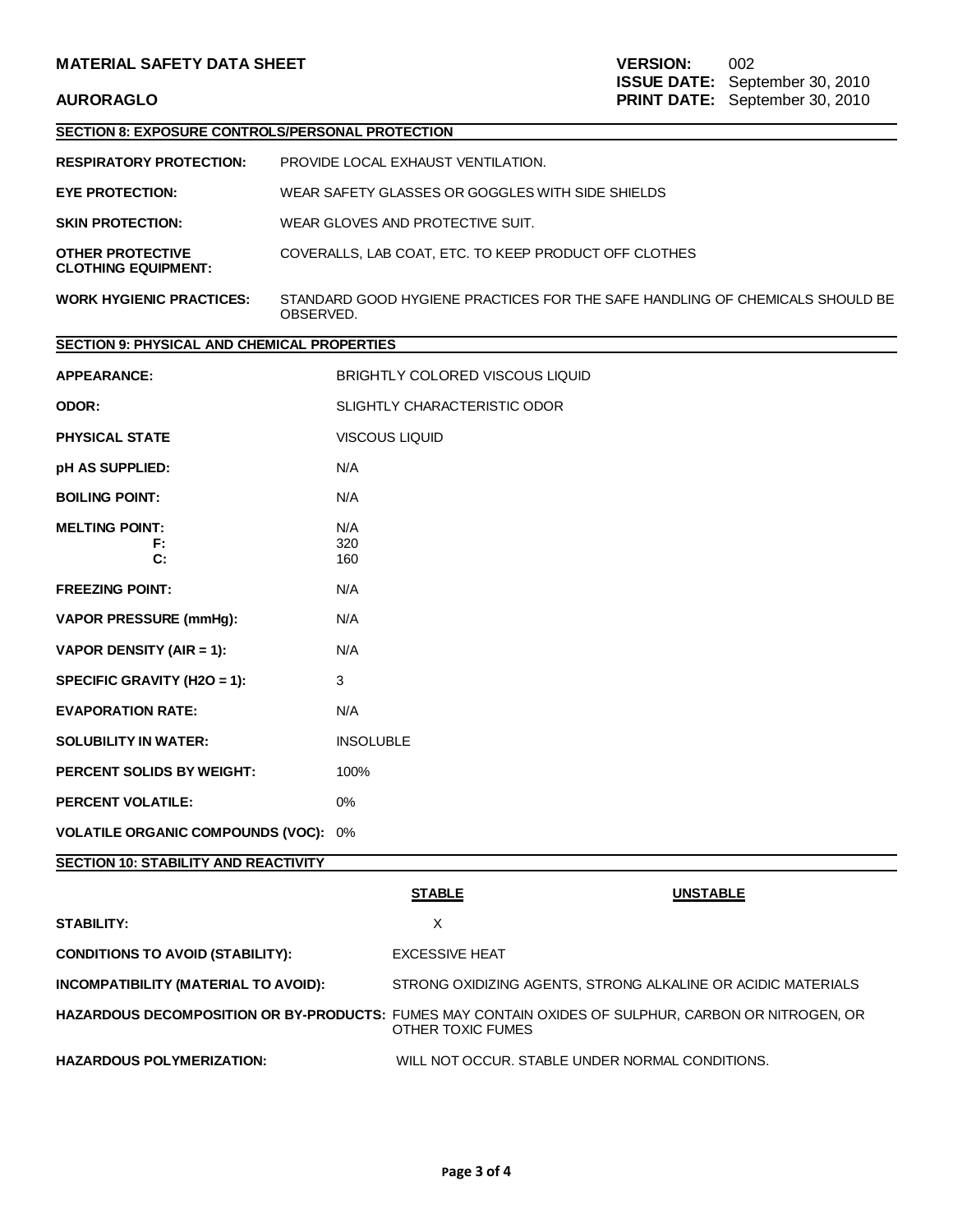| SECTION 8: EXPOSURE CONTROLS/PERSONAL PROTECTION      |                                                                                           |                                                                                                     |  |  |  |  |
|-------------------------------------------------------|-------------------------------------------------------------------------------------------|-----------------------------------------------------------------------------------------------------|--|--|--|--|
| <b>RESPIRATORY PROTECTION:</b>                        | PROVIDE LOCAL EXHAUST VENTILATION.                                                        |                                                                                                     |  |  |  |  |
| <b>EYE PROTECTION:</b>                                | WEAR SAFETY GLASSES OR GOGGLES WITH SIDE SHIELDS                                          |                                                                                                     |  |  |  |  |
| <b>SKIN PROTECTION:</b>                               | WEAR GLOVES AND PROTECTIVE SUIT.                                                          |                                                                                                     |  |  |  |  |
| <b>OTHER PROTECTIVE</b><br><b>CLOTHING EQUIPMENT:</b> | COVERALLS, LAB COAT, ETC. TO KEEP PRODUCT OFF CLOTHES                                     |                                                                                                     |  |  |  |  |
| <b>WORK HYGIENIC PRACTICES:</b>                       | STANDARD GOOD HYGIENE PRACTICES FOR THE SAFE HANDLING OF CHEMICALS SHOULD BE<br>OBSERVED. |                                                                                                     |  |  |  |  |
| <b>SECTION 9: PHYSICAL AND CHEMICAL PROPERTIES</b>    |                                                                                           |                                                                                                     |  |  |  |  |
| <b>APPEARANCE:</b>                                    | BRIGHTLY COLORED VISCOUS LIQUID                                                           |                                                                                                     |  |  |  |  |
| ODOR:                                                 | SLIGHTLY CHARACTERISTIC ODOR                                                              |                                                                                                     |  |  |  |  |
| <b>PHYSICAL STATE</b>                                 | <b>VISCOUS LIQUID</b>                                                                     |                                                                                                     |  |  |  |  |
| pH AS SUPPLIED:                                       | N/A                                                                                       |                                                                                                     |  |  |  |  |
| <b>BOILING POINT:</b>                                 | N/A                                                                                       |                                                                                                     |  |  |  |  |
| <b>MELTING POINT:</b><br>F:<br>C:                     | N/A<br>320<br>160                                                                         |                                                                                                     |  |  |  |  |
| <b>FREEZING POINT:</b>                                | N/A                                                                                       |                                                                                                     |  |  |  |  |
| <b>VAPOR PRESSURE (mmHg):</b>                         | N/A                                                                                       |                                                                                                     |  |  |  |  |
| VAPOR DENSITY (AIR = 1):                              | N/A                                                                                       |                                                                                                     |  |  |  |  |
| SPECIFIC GRAVITY (H2O = 1):                           | 3                                                                                         |                                                                                                     |  |  |  |  |
| <b>EVAPORATION RATE:</b>                              | N/A                                                                                       |                                                                                                     |  |  |  |  |
| <b>SOLUBILITY IN WATER:</b>                           | <b>INSOLUBLE</b>                                                                          |                                                                                                     |  |  |  |  |
| <b>PERCENT SOLIDS BY WEIGHT:</b>                      | 100%                                                                                      |                                                                                                     |  |  |  |  |
| <b>PERCENT VOLATILE:</b>                              | 0%                                                                                        |                                                                                                     |  |  |  |  |
| <b>VOLATILE ORGANIC COMPOUNDS (VOC): 0%</b>           |                                                                                           |                                                                                                     |  |  |  |  |
| <b>SECTION 10: STABILITY AND REACTIVITY</b>           |                                                                                           |                                                                                                     |  |  |  |  |
|                                                       | <b>STABLE</b>                                                                             | <b>UNSTABLE</b>                                                                                     |  |  |  |  |
| <b>STABILITY:</b>                                     | X                                                                                         |                                                                                                     |  |  |  |  |
| <b>CONDITIONS TO AVOID (STABILITY):</b>               | <b>EXCESSIVE HEAT</b>                                                                     |                                                                                                     |  |  |  |  |
| INCOMPATIBILITY (MATERIAL TO AVOID):                  |                                                                                           | STRONG OXIDIZING AGENTS, STRONG ALKALINE OR ACIDIC MATERIALS                                        |  |  |  |  |
|                                                       | <b>OTHER TOXIC FUMES</b>                                                                  | HAZARDOUS DECOMPOSITION OR BY-PRODUCTS: FUMES MAY CONTAIN OXIDES OF SULPHUR, CARBON OR NITROGEN, OR |  |  |  |  |
| <b>HAZARDOUS POLYMERIZATION:</b>                      |                                                                                           | WILL NOT OCCUR. STABLE UNDER NORMAL CONDITIONS.                                                     |  |  |  |  |